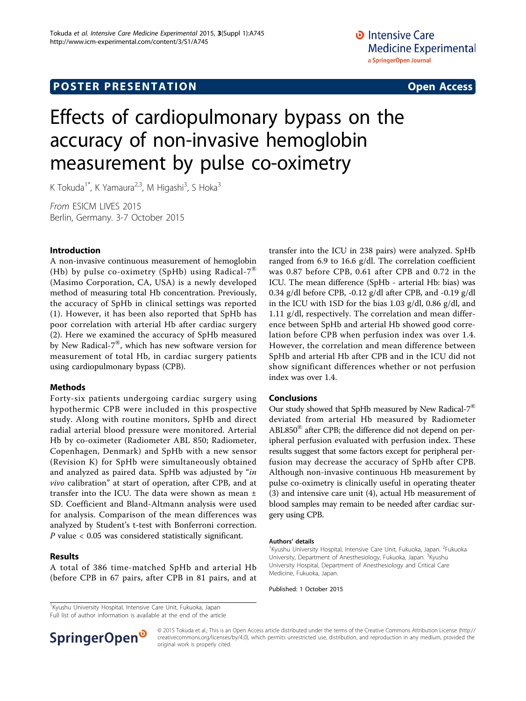# Effects of cardiopulmonary bypass on the accuracy of non-invasive hemoglobin measurement by pulse co-oximetry

K Tokuda<sup>1\*</sup>, K Yamaura<sup>2,3</sup>, M Higashi<sup>3</sup>, S Hoka<sup>3</sup>

From ESICM LIVES 2015 Berlin, Germany. 3-7 October 2015

# Introduction

A non-invasive continuous measurement of hemoglobin (Hb) by pulse co-oximetry (SpHb) using Radical-7<sup>®</sup> (Masimo Corporation, CA, USA) is a newly developed method of measuring total Hb concentration. Previously, the accuracy of SpHb in clinical settings was reported (1). However, it has been also reported that SpHb has poor correlation with arterial Hb after cardiac surgery (2). Here we examined the accuracy of SpHb measured by New Radical-7®, which has new software version for measurement of total Hb, in cardiac surgery patients using cardiopulmonary bypass (CPB).

## Methods

Forty-six patients undergoing cardiac surgery using hypothermic CPB were included in this prospective study. Along with routine monitors, SpHb and direct radial arterial blood pressure were monitored. Arterial Hb by co-oximeter (Radiometer ABL 850; Radiometer, Copenhagen, Denmark) and SpHb with a new sensor (Revision K) for SpHb were simultaneously obtained and analyzed as paired data. SpHb was adjusted by "in vivo calibration" at start of operation, after CPB, and at transfer into the ICU. The data were shown as mean ± SD. Coefficient and Bland-Altmann analysis were used for analysis. Comparison of the mean differences was analyzed by Student's t-test with Bonferroni correction. P value < 0.05 was considered statistically significant.

## Results

A total of 386 time-matched SpHb and arterial Hb (before CPB in 67 pairs, after CPB in 81 pairs, and at transfer into the ICU in 238 pairs) were analyzed. SpHb ranged from 6.9 to 16.6 g/dl. The correlation coefficient was 0.87 before CPB, 0.61 after CPB and 0.72 in the ICU. The mean difference (SpHb - arterial Hb: bias) was 0.34 g/dl before CPB, -0.12 g/dl after CPB, and -0.19 g/dl in the ICU with 1SD for the bias 1.03 g/dl, 0.86 g/dl, and 1.11 g/dl, respectively. The correlation and mean difference between SpHb and arterial Hb showed good correlation before CPB when perfusion index was over 1.4. However, the correlation and mean difference between SpHb and arterial Hb after CPB and in the ICU did not show significant differences whether or not perfusion index was over 1.4.

## Conclusions

Our study showed that SpHb measured by New Radical-7 $^{\circledR}$ deviated from arterial Hb measured by Radiometer  $ABL850<sup>®</sup>$  after CPB; the difference did not depend on peripheral perfusion evaluated with perfusion index. These results suggest that some factors except for peripheral perfusion may decrease the accuracy of SpHb after CPB. Although non-invasive continuous Hb measurement by pulse co-oximetry is clinically useful in operating theater (3) and intensive care unit (4), actual Hb measurement of blood samples may remain to be needed after cardiac surgery using CPB.

#### Authors' details <sup>1</sup>

Kyushu University Hospital, Intensive Care Unit, Fukuoka, Japan. <sup>2</sup>Fukuoka University, Department of Anesthesiology, Fukuoka, Japan. <sup>3</sup>Kyushu University Hospital, Department of Anesthesiology and Critical Care Medicine, Fukuoka, Japan.

Published: 1 October 2015

Full list of author information is available at the end of the article



© 2015 Tokuda et al.; This is an Open Access article distributed under the terms of the Creative Commons Attribution License [\(http://](http://creativecommons.org/licenses/by/4.0) [creativecommons.org/licenses/by/4.0](http://creativecommons.org/licenses/by/4.0)), which permits unrestricted use, distribution, and reproduction in any medium, provided the original work is properly cited.

<sup>&</sup>lt;sup>1</sup> Kyushu University Hospital, Intensive Care Unit, Fukuoka, Japan